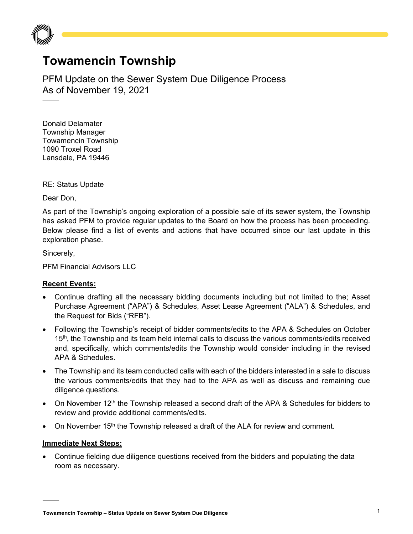

## **Towamencin Township**

PFM Update on the Sewer System Due Diligence Process As of November 19, 2021

Donald Delamater Township Manager Towamencin Township 1090 Troxel Road Lansdale, PA 19446

RE: Status Update

Dear Don,

As part of the Township's ongoing exploration of a possible sale of its sewer system, the Township has asked PFM to provide regular updates to the Board on how the process has been proceeding. Below please find a list of events and actions that have occurred since our last update in this exploration phase.

Sincerely,

PFM Financial Advisors LLC

## **Recent Events:**

- Continue drafting all the necessary bidding documents including but not limited to the; Asset Purchase Agreement ("APA") & Schedules, Asset Lease Agreement ("ALA") & Schedules, and the Request for Bids ("RFB").
- Following the Township's receipt of bidder comments/edits to the APA & Schedules on October 15<sup>th</sup>, the Township and its team held internal calls to discuss the various comments/edits received and, specifically, which comments/edits the Township would consider including in the revised APA & Schedules.
- The Township and its team conducted calls with each of the bidders interested in a sale to discuss the various comments/edits that they had to the APA as well as discuss and remaining due diligence questions.
- On November 12<sup>th</sup> the Township released a second draft of the APA & Schedules for bidders to review and provide additional comments/edits.
- On November 15<sup>th</sup> the Township released a draft of the ALA for review and comment.

## **Immediate Next Steps:**

• Continue fielding due diligence questions received from the bidders and populating the data room as necessary.